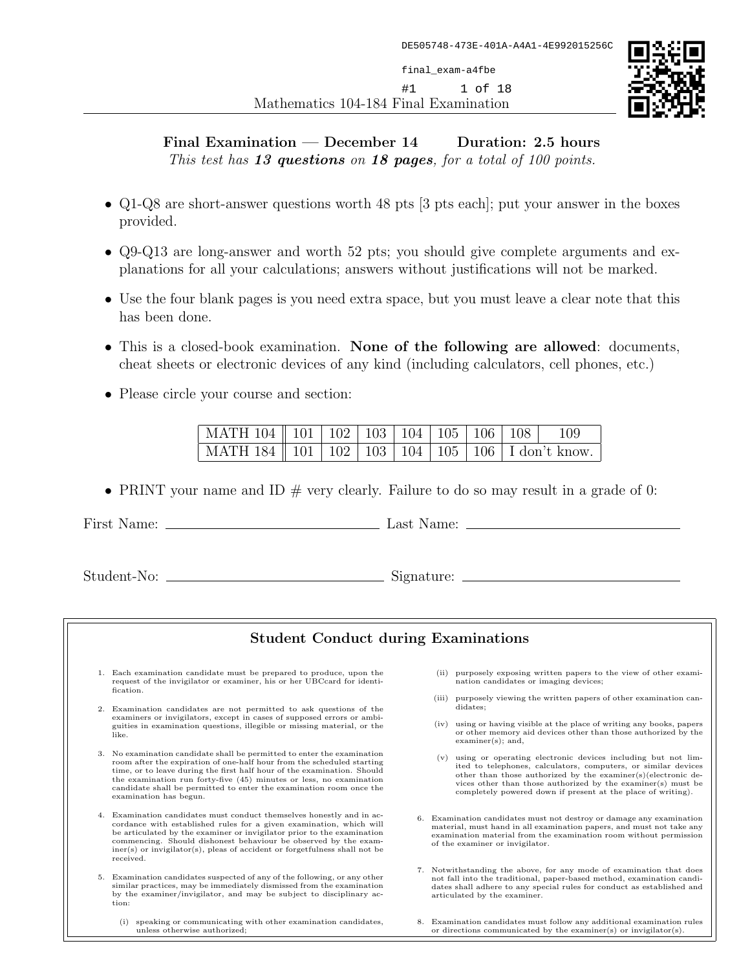Mathematics 104-184 Final Examination final\_exam-a4fbe #1 1 of 18



## Final Examination  $-$  December 14 Duration: 2.5 hours This test has 13 questions on 18 pages, for a total of 100 points.

- Q1-Q8 are short-answer questions worth 48 pts [3 pts each]; put your answer in the boxes provided.
- Q9-Q13 are long-answer and worth 52 pts; you should give complete arguments and explanations for all your calculations; answers without justifications will not be marked.
- Use the four blank pages is you need extra space, but you must leave a clear note that this has been done.
- This is a closed-book examination. None of the following are allowed: documents, cheat sheets or electronic devices of any kind (including calculators, cell phones, etc.)
- Please circle your course and section:

| MATH 104   101   102   103   104   105   106   108   109 |  |  |  |                                                              |  |
|----------------------------------------------------------|--|--|--|--------------------------------------------------------------|--|
|                                                          |  |  |  | MATH 184   101   102   103   104   105   106   I don't know. |  |

• PRINT your name and ID  $#$  very clearly. Failure to do so may result in a grade of 0:

First Name: Last Name:

Student-No: Signature:

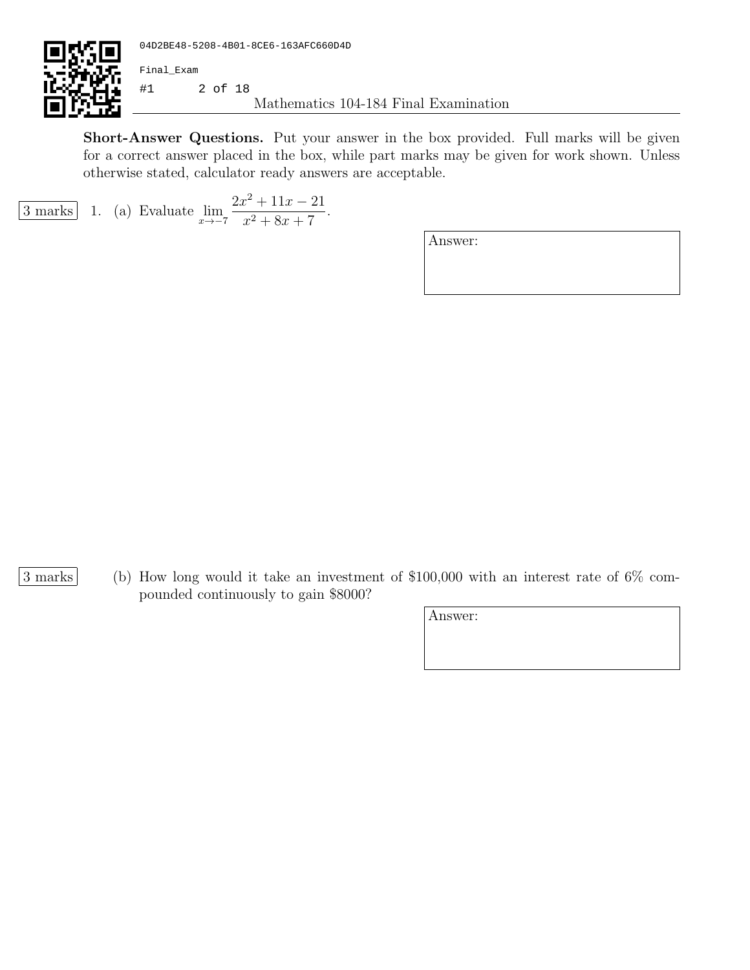

Short-Answer Questions. Put your answer in the box provided. Full marks will be given for a correct answer placed in the box, while part marks may be given for work shown. Unless otherwise stated, calculator ready answers are acceptable.

$$
\boxed{3 \text{ marks}} \quad 1. \quad \text{(a) Evaluate } \lim_{x \to -7} \frac{2x^2 + 11x - 21}{x^2 + 8x + 7}.
$$

- 
- 3 marks (b) How long would it take an investment of \$100,000 with an interest rate of 6% compounded continuously to gain \$8000?

| Answer: |  |  |  |
|---------|--|--|--|
|         |  |  |  |
|         |  |  |  |
|         |  |  |  |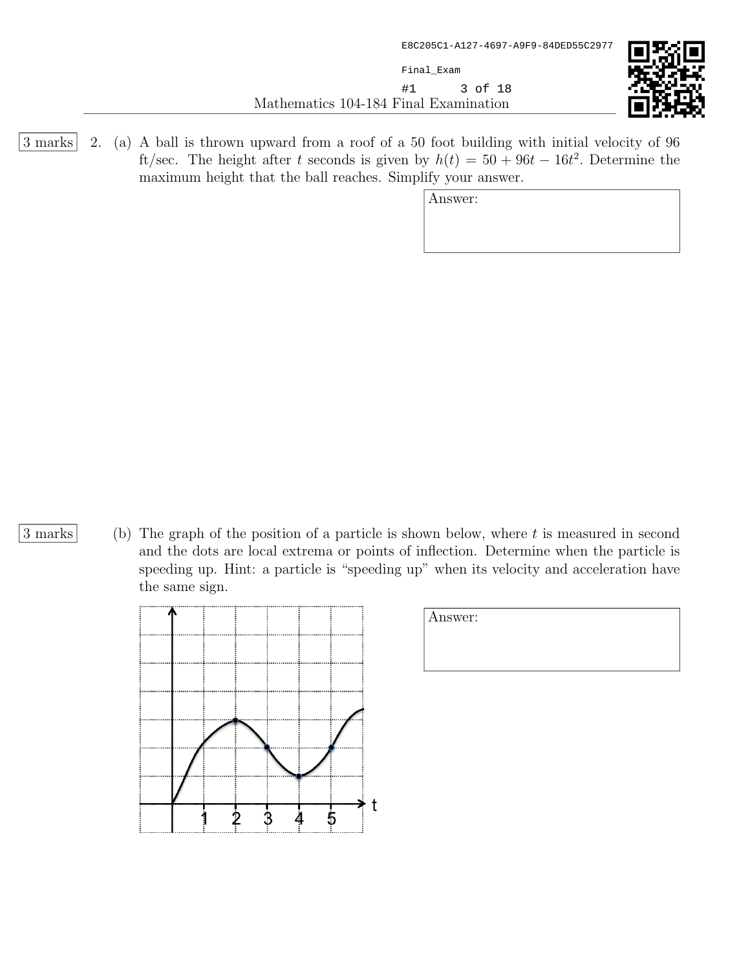Mathematics 104-184 Final Examination Final\_Exam #1 3 of 18



3 marks 2. (a) A ball is thrown upward from a roof of a 50 foot building with initial velocity of 96 ft/sec. The height after t seconds is given by  $h(t) = 50 + 96t - 16t^2$ . Determine the maximum height that the ball reaches. Simplify your answer.

Answer:

3 marks (b) The graph of the position of a particle is shown below, where t is measured in second and the dots are local extrema or points of inflection. Determine when the particle is speeding up. Hint: a particle is "speeding up" when its velocity and acceleration have the same sign.



| Answer: |  |  |
|---------|--|--|
|         |  |  |
|         |  |  |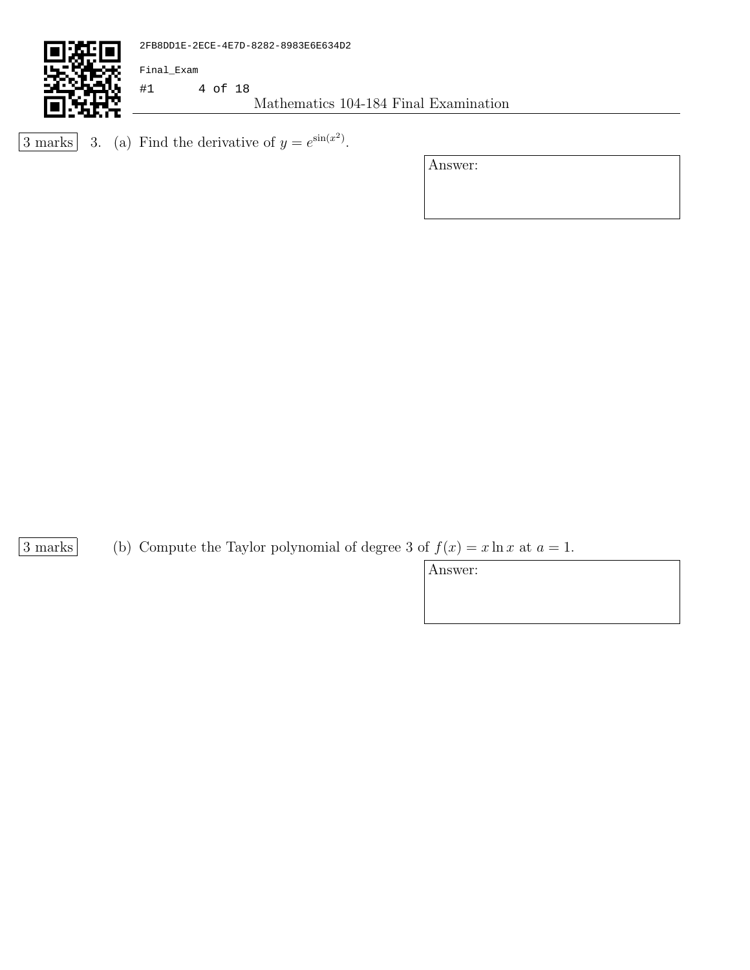

```
\overline{3 \text{ marks}} 3. (a) Find the derivative of y = e^{\sin(x^2)}.
```
Answer:

3 marks (b) Compute the Taylor polynomial of degree 3 of  $f(x) = x \ln x$  at  $a = 1$ .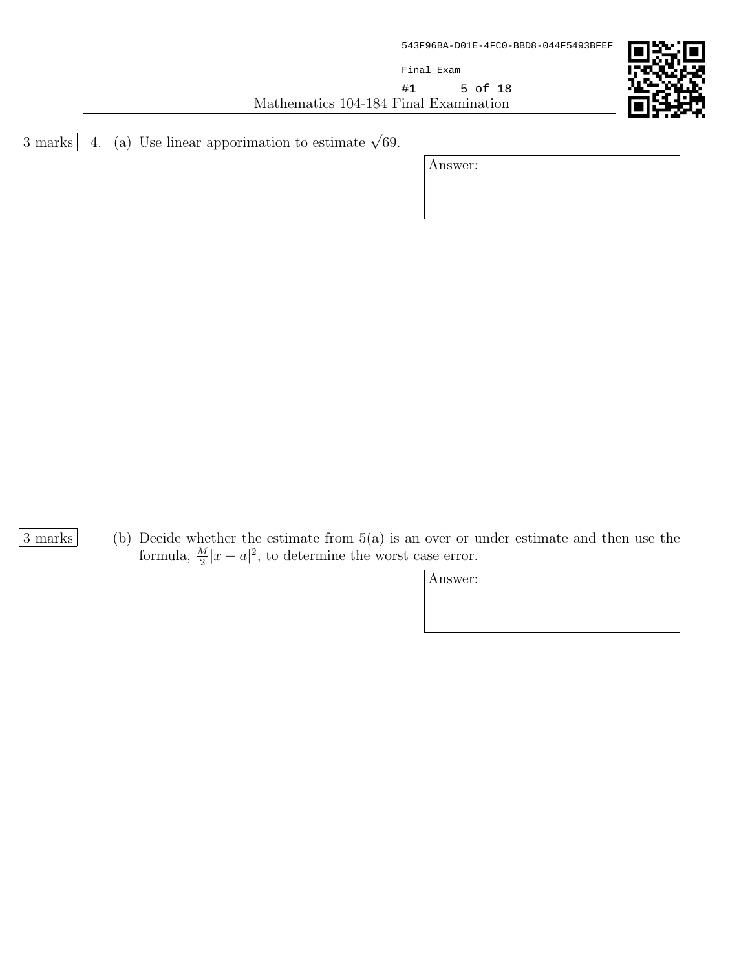Final\_Exam

Mathematics 104-184 Final Examination #1 5 of 18



 $\overline{3 \text{ marks}}$  4. (a) Use linear apporimation to estimate  $\sqrt{69}$ .

Answer:

3 marks (b) Decide whether the estimate from 5(a) is an over or under estimate and then use the formula,  $\frac{M}{2}|x-a|^2$ , to determine the worst case error.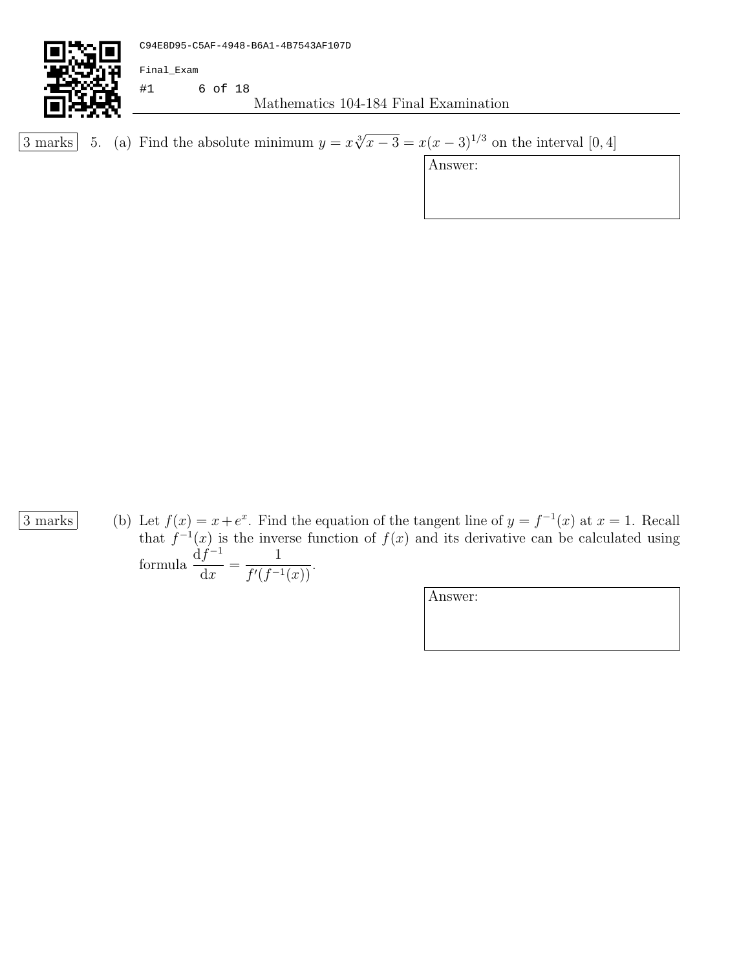

3 marks 5. (a) Find the absolute minimum  $y = x\sqrt[3]{x-3} = x(x-3)^{1/3}$  on the interval [0,4]

Answer:

3 marks (b) Let  $f(x) = x + e^x$ . Find the equation of the tangent line of  $y = f^{-1}(x)$  at  $x = 1$ . Recall that  $f^{-1}(x)$  is the inverse function of  $f(x)$  and its derivative can be calculated using formula  $\frac{df^{-1}}{1}$  $dx$ = 1  $\frac{1}{f'(f^{-1}(x))}$ .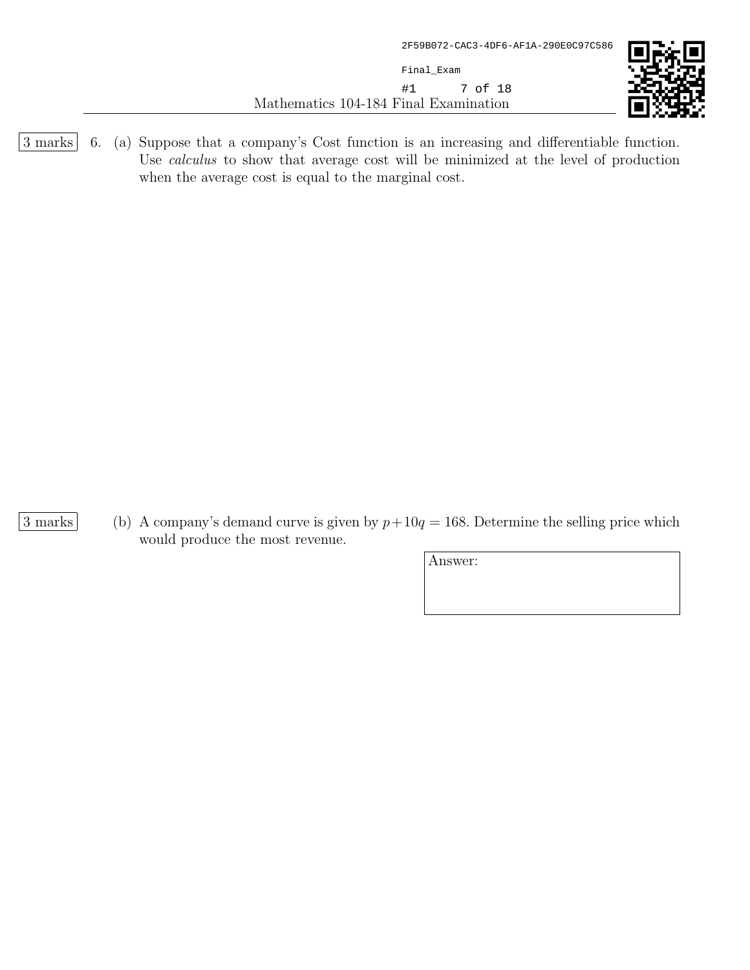Mathematics 104-184 Final Examination Final\_Exam #1 7 of 18



3 marks 6. (a) Suppose that a company's Cost function is an increasing and differentiable function. Use calculus to show that average cost will be minimized at the level of production when the average cost is equal to the marginal cost.

3 marks (b) A company's demand curve is given by  $p+10q = 168$ . Determine the selling price which would produce the most revenue.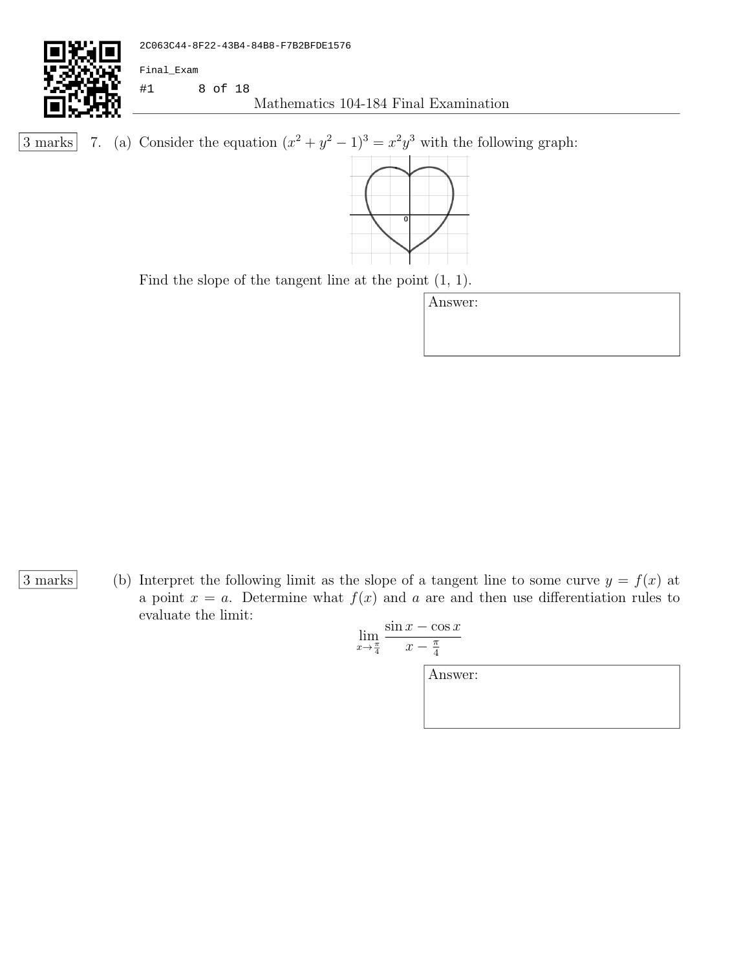

3 marks 7. (a) Consider the equation  $(x^2 + y^2 - 1)^3 = x^2y^3$  with the following graph:



Find the slope of the tangent line at the point (1, 1).

| Answer: |  |  |
|---------|--|--|
|         |  |  |
|         |  |  |
|         |  |  |

3 marks (b) Interpret the following limit as the slope of a tangent line to some curve  $y = f(x)$  at a point  $x = a$ . Determine what  $f(x)$  and a are and then use differentiation rules to evaluate the limit:

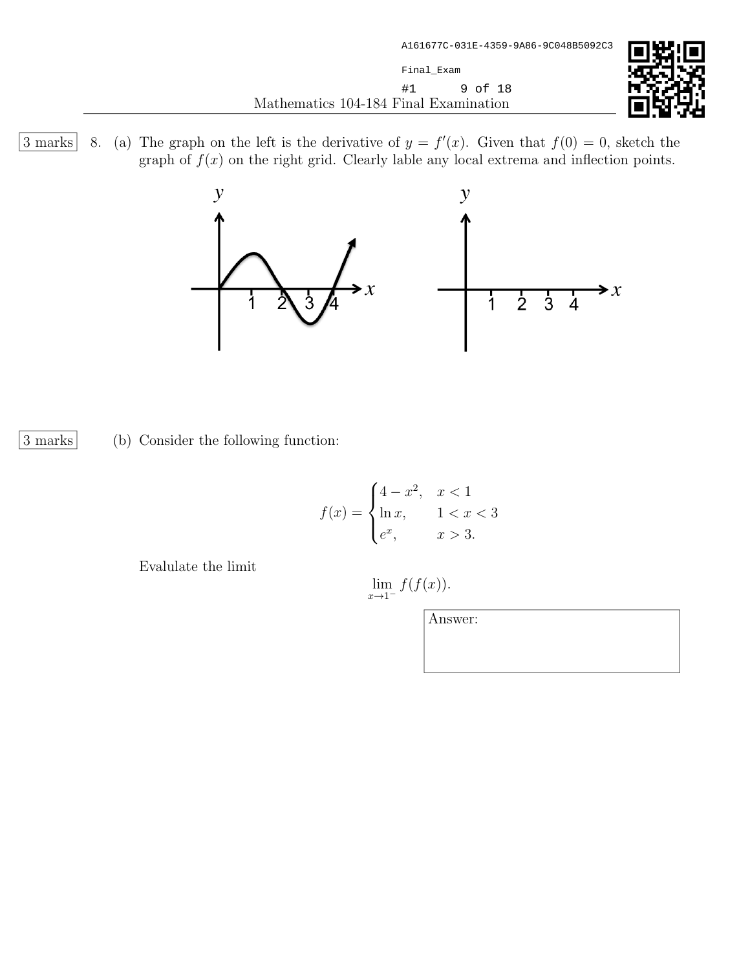

3 marks | 8. (a) The graph on the left is the derivative of  $y = f'(x)$ . Given that  $f(0) = 0$ , sketch the graph of  $f(x)$  on the right grid. Clearly lable any local extrema and inflection points.



3 marks (b) Consider the following function:

$$
f(x) = \begin{cases} 4 - x^2, & x < 1 \\ \ln x, & 1 < x < 3 \\ e^x, & x > 3. \end{cases}
$$

Evalulate the limit

 $\lim_{x\to 1^-} f(f(x)).$ 

| Answer: |  |  |
|---------|--|--|
|         |  |  |
|         |  |  |
|         |  |  |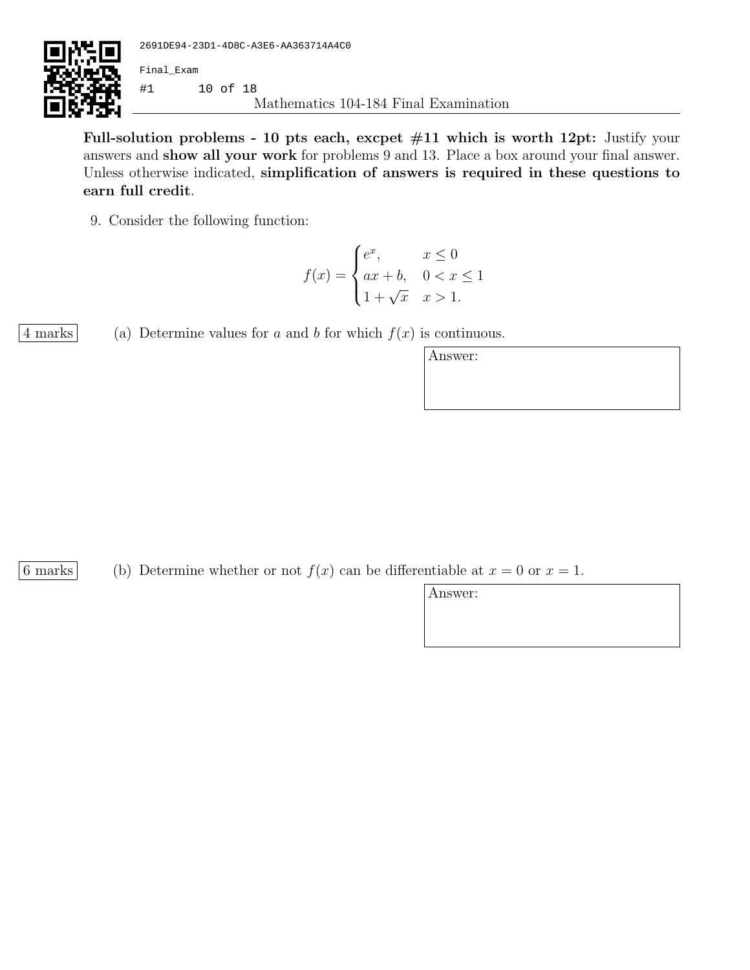

Full-solution problems - 10 pts each, excpet  $#11$  which is worth 12pt: Justify your answers and show all your work for problems 9 and 13. Place a box around your final answer. Unless otherwise indicated, simplification of answers is required in these questions to earn full credit.

9. Consider the following function:

$$
f(x) = \begin{cases} e^x, & x \le 0 \\ ax + b, & 0 < x \le 1 \\ 1 + \sqrt{x} & x > 1. \end{cases}
$$

4 marks (a) Determine values for a and b for which  $f(x)$  is continuous.

| Answer: |  |  |  |
|---------|--|--|--|
|         |  |  |  |
|         |  |  |  |

6 marks (b) Determine whether or not  $f(x)$  can be differentiable at  $x = 0$  or  $x = 1$ .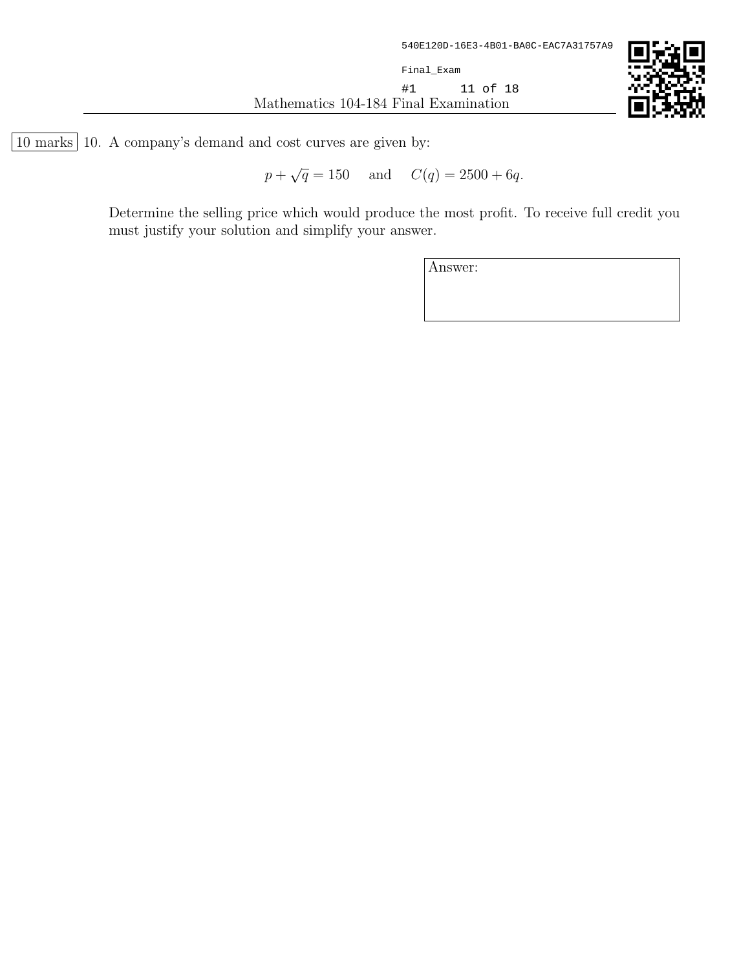

10 marks 10. A company's demand and cost curves are given by:

 $\overline{p}$  + √  $\overline{q} = 150$  and  $C(q) = 2500 + 6q$ .

Determine the selling price which would produce the most profit. To receive full credit you must justify your solution and simplify your answer.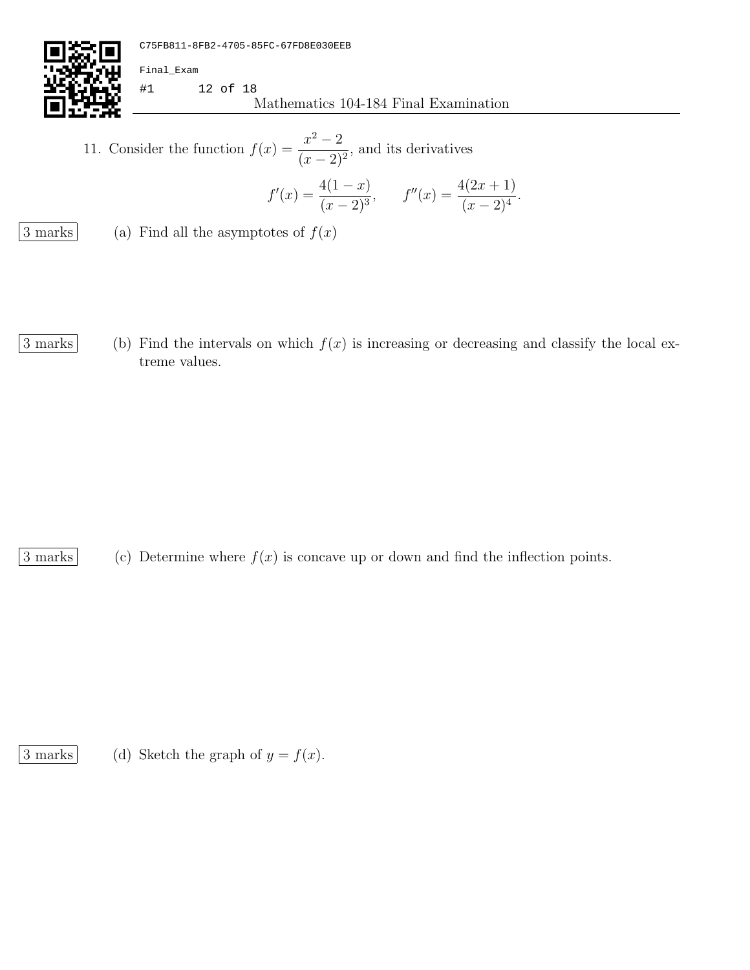

Mathematics 104-184 Final Examination #1 12 of 18

11. Consider the function  $f(x) = \frac{x^2 - 2}{(x - 2)}$  $\frac{x}{(x-2)^2}$ , and its derivatives

$$
f'(x) = \frac{4(1-x)}{(x-2)^3}, \qquad f''(x) = \frac{4(2x+1)}{(x-2)^4}.
$$

 $\boxed{3 \text{ marks}}$  (a) Find all the asymptotes of  $f(x)$ 

Final\_Exam

3 marks (b) Find the intervals on which  $f(x)$  is increasing or decreasing and classify the local extreme values.

 $\boxed{3 \text{ marks}}$  (c) Determine where  $f(x)$  is concave up or down and find the inflection points.

 $\boxed{3 \text{ marks}}$  (d) Sketch the graph of  $y = f(x)$ .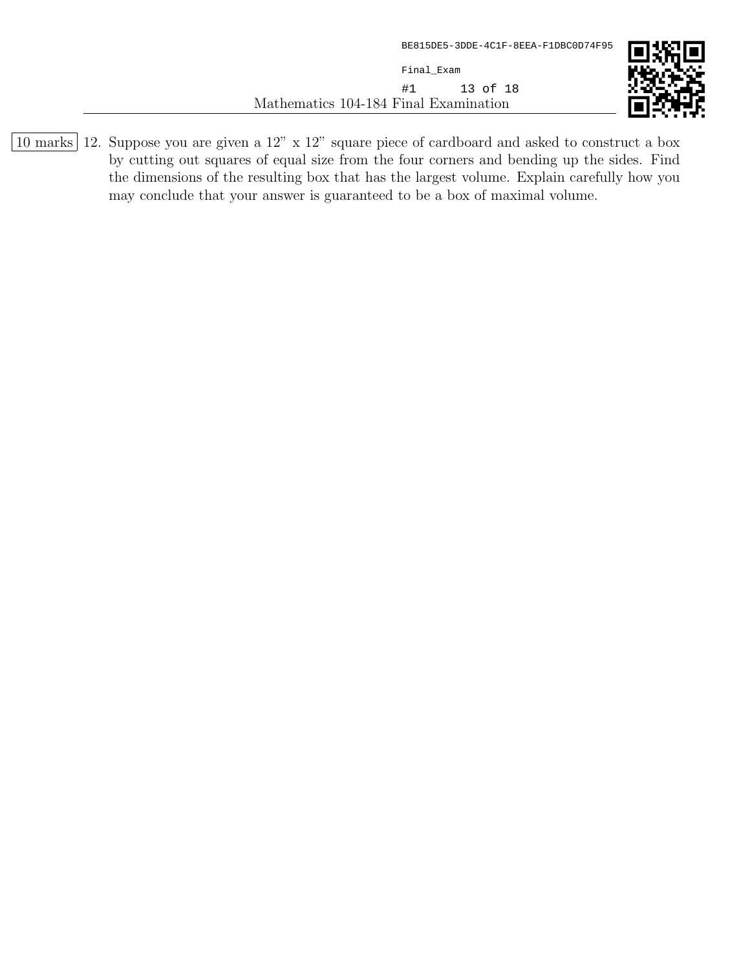Mathematics 104-184 Final Examination Final\_Exam #1 13 of 18



10 marks 12. Suppose you are given a 12" x 12" square piece of cardboard and asked to construct a box by cutting out squares of equal size from the four corners and bending up the sides. Find the dimensions of the resulting box that has the largest volume. Explain carefully how you may conclude that your answer is guaranteed to be a box of maximal volume.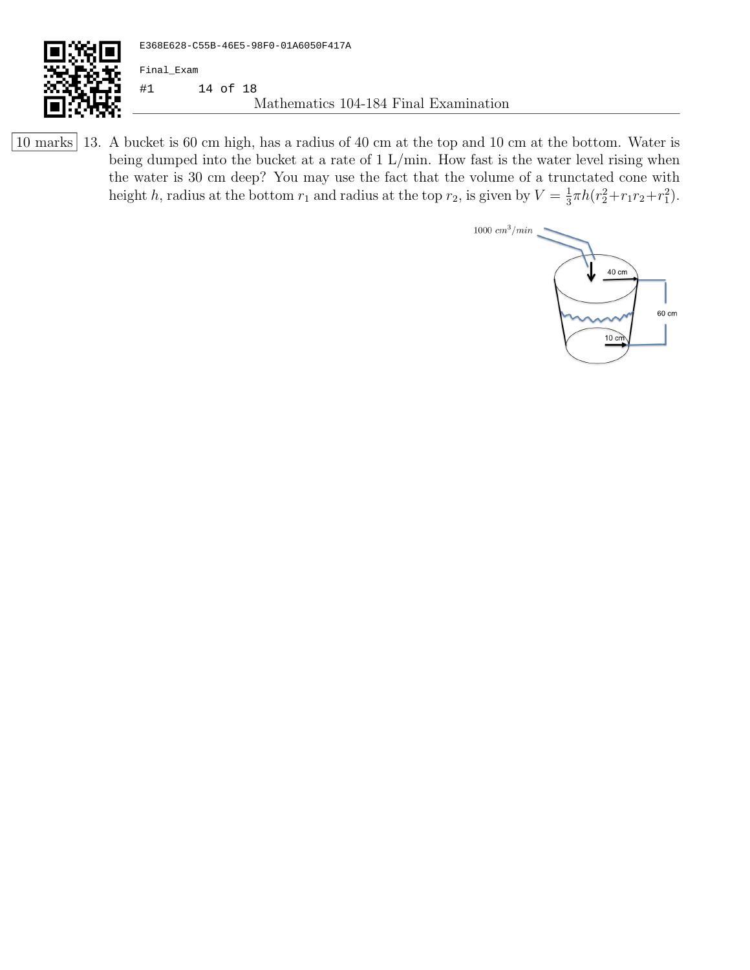

10 marks 13. A bucket is 60 cm high, has a radius of 40 cm at the top and 10 cm at the bottom. Water is being dumped into the bucket at a rate of 1 L/min. How fast is the water level rising when the water is 30 cm deep? You may use the fact that the volume of a trunctated cone with height h, radius at the bottom  $r_1$  and radius at the top  $r_2$ , is given by  $V = \frac{1}{3}$  $\frac{1}{3}\pi h(r_2^2+r_1r_2+r_1^2).$ 

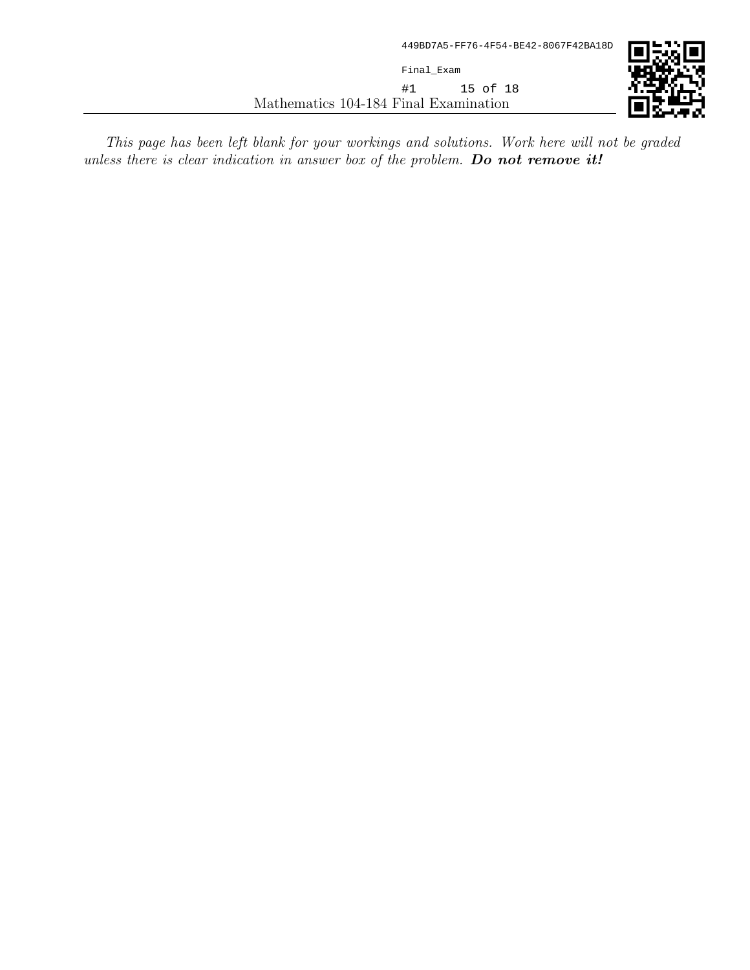Mathematics 104-184 Final Examination Final\_Exam #1 15 of 18

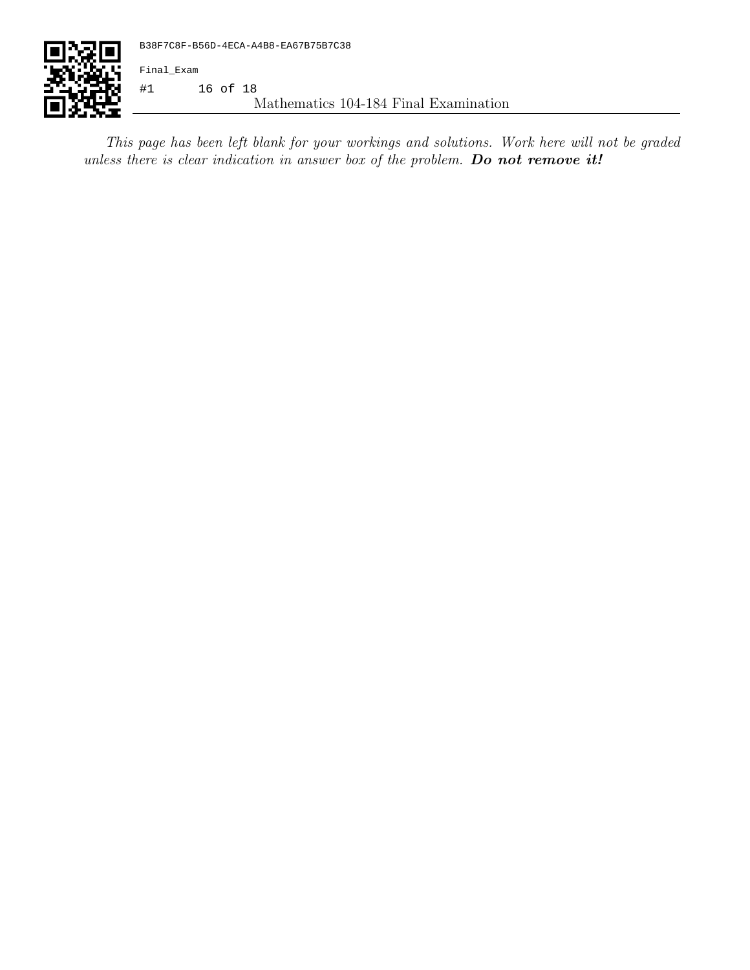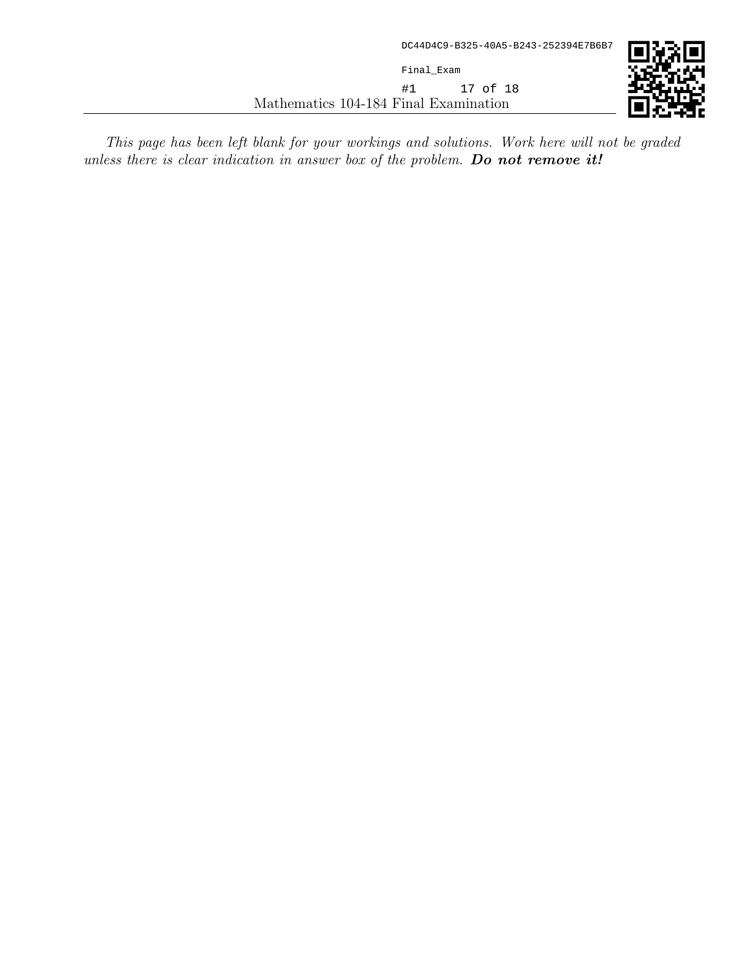Mathematics 104-184 Final Examination Final\_Exam #1 17 of 18